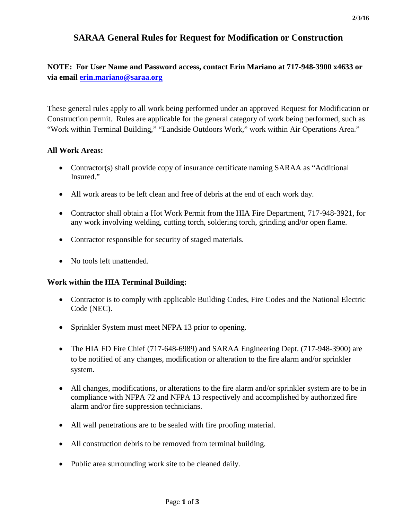# **SARAA General Rules for Request for Modification or Construction**

# **NOTE: For User Name and Password access, contact Erin Mariano at 717-948-3900 x4633 or via email [erin.mariano@saraa.org](mailto:erin.mariano@saraa.org)**

These general rules apply to all work being performed under an approved Request for Modification or Construction permit. Rules are applicable for the general category of work being performed, such as "Work within Terminal Building," "Landside Outdoors Work," work within Air Operations Area."

## **All Work Areas:**

- Contractor(s) shall provide copy of insurance certificate naming SARAA as "Additional Insured."
- All work areas to be left clean and free of debris at the end of each work day.
- Contractor shall obtain a Hot Work Permit from the HIA Fire Department, 717-948-3921, for any work involving welding, cutting torch, soldering torch, grinding and/or open flame.
- Contractor responsible for security of staged materials.
- No tools left unattended.

## **Work within the HIA Terminal Building:**

- Contractor is to comply with applicable Building Codes, Fire Codes and the National Electric Code (NEC).
- Sprinkler System must meet NFPA 13 prior to opening.
- The HIA FD Fire Chief (717-648-6989) and SARAA Engineering Dept. (717-948-3900) are to be notified of any changes, modification or alteration to the fire alarm and/or sprinkler system.
- All changes, modifications, or alterations to the fire alarm and/or sprinkler system are to be in compliance with NFPA 72 and NFPA 13 respectively and accomplished by authorized fire alarm and/or fire suppression technicians.
- All wall penetrations are to be sealed with fire proofing material.
- All construction debris to be removed from terminal building.
- Public area surrounding work site to be cleaned daily.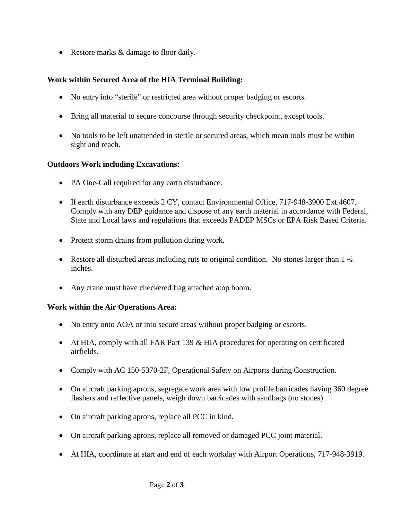• Restore marks & damage to floor daily.

# **Work within Secured Area of the HIA Terminal Building:**

- No entry into "sterile" or restricted area without proper badging or escorts.
- Bring all material to secure concourse through security checkpoint, except tools.
- No tools to be left unattended in sterile or secured areas, which mean tools must be within sight and reach.

## **Outdoors Work including Excavations:**

- PA One-Call required for any earth disturbance.
- If earth disturbance exceeds 2 CY, contact Environmental Office, 717-948-3900 Ext 4607. Comply with any DEP guidance and dispose of any earth material in accordance with Federal, State and Local laws and regulations that exceeds PADEP MSCs or EPA Risk Based Criteria.
- Protect storm drains from pollution during work.
- Restore all disturbed areas including ruts to original condition. No stones larger than  $1\frac{1}{2}$ inches.
- Any crane must have checkered flag attached atop boom.

## **Work within the Air Operations Area:**

- No entry onto AOA or into secure areas without proper badging or escorts.
- At HIA, comply with all FAR Part 139 & HIA procedures for operating on certificated airfields.
- Comply with AC 150-5370-2F, Operational Safety on Airports during Construction.
- On aircraft parking aprons, segregate work area with low profile barricades having 360 degree flashers and reflective panels, weigh down barricades with sandbags (no stones).
- On aircraft parking aprons, replace all PCC in kind.
- On aircraft parking aprons, replace all removed or damaged PCC joint material.
- At HIA, coordinate at start and end of each workday with Airport Operations, 717-948-3919.